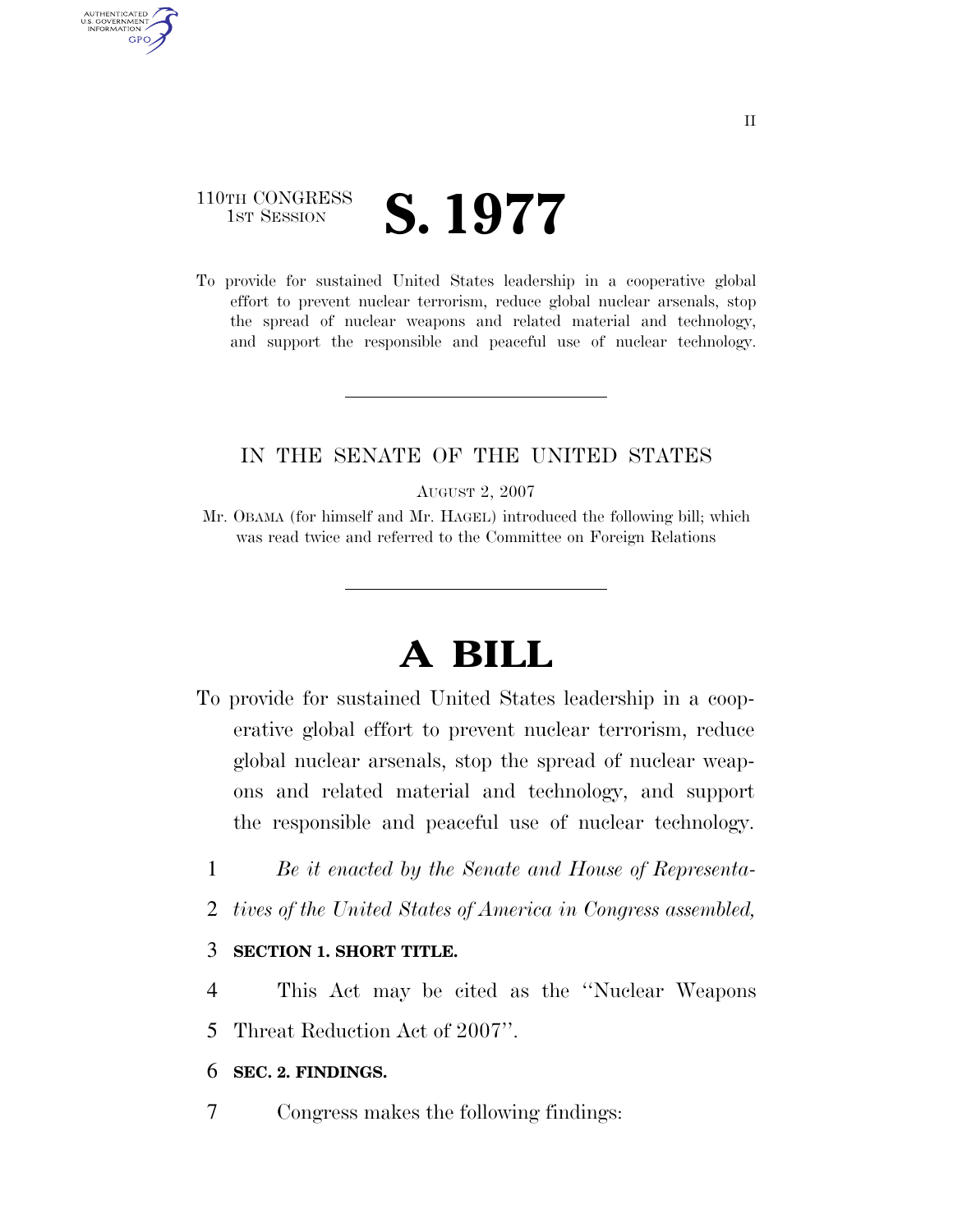#### 110TH CONGRESS TH CONGRESS **S. 1977**

AUTHENTICATED U.S. GOVERNMENT **GPO** 

> To provide for sustained United States leadership in a cooperative global effort to prevent nuclear terrorism, reduce global nuclear arsenals, stop the spread of nuclear weapons and related material and technology, and support the responsible and peaceful use of nuclear technology.

#### IN THE SENATE OF THE UNITED STATES

AUGUST 2, 2007

Mr. OBAMA (for himself and Mr. HAGEL) introduced the following bill; which was read twice and referred to the Committee on Foreign Relations

# **A BILL**

- To provide for sustained United States leadership in a cooperative global effort to prevent nuclear terrorism, reduce global nuclear arsenals, stop the spread of nuclear weapons and related material and technology, and support the responsible and peaceful use of nuclear technology.
	- 1 *Be it enacted by the Senate and House of Representa-*
	- 2 *tives of the United States of America in Congress assembled,*

#### 3 **SECTION 1. SHORT TITLE.**

4 This Act may be cited as the ''Nuclear Weapons 5 Threat Reduction Act of 2007''.

#### 6 **SEC. 2. FINDINGS.**

7 Congress makes the following findings: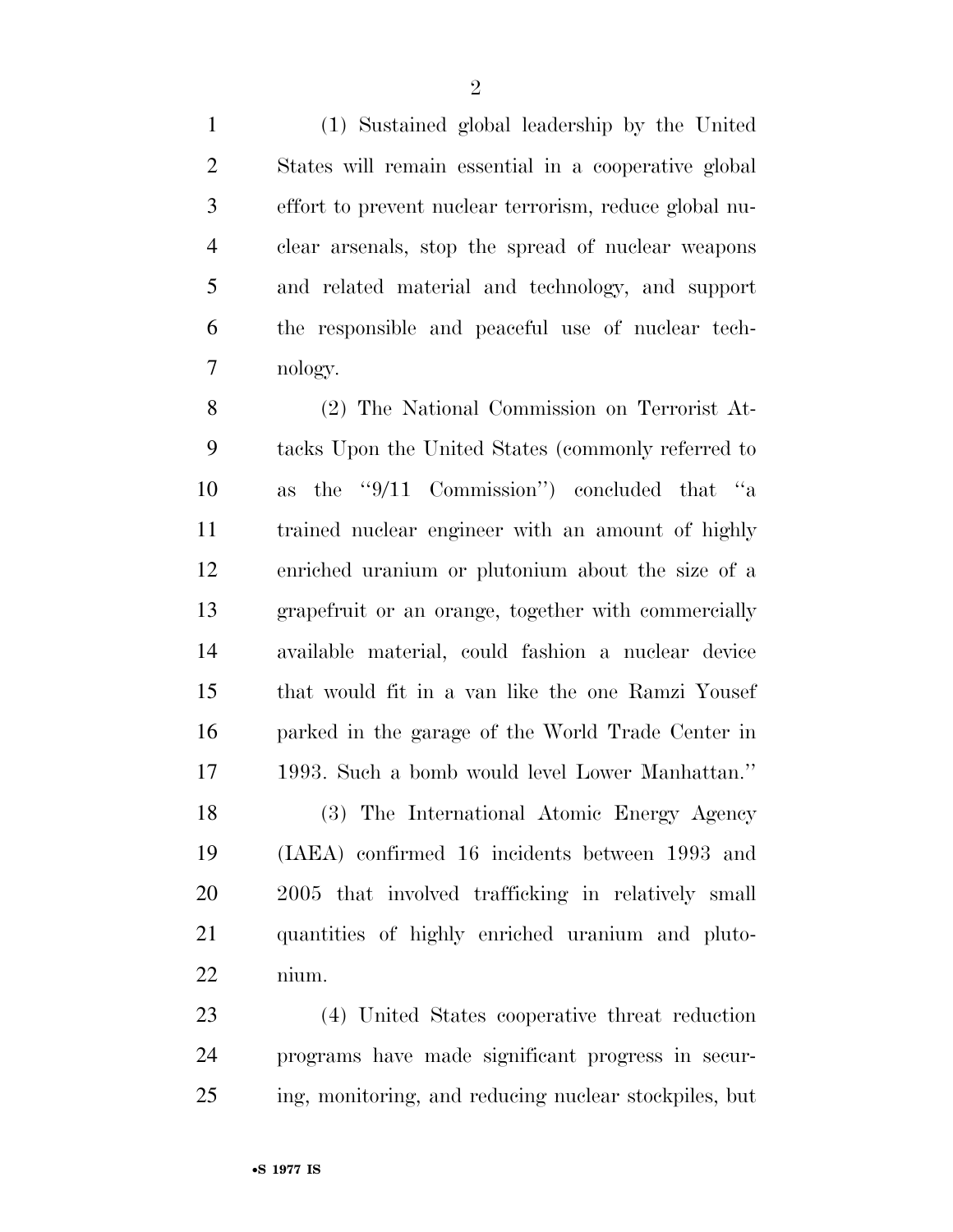(1) Sustained global leadership by the United States will remain essential in a cooperative global effort to prevent nuclear terrorism, reduce global nu- clear arsenals, stop the spread of nuclear weapons and related material and technology, and support the responsible and peaceful use of nuclear tech-nology.

 (2) The National Commission on Terrorist At- tacks Upon the United States (commonly referred to as the ''9/11 Commission'') concluded that ''a trained nuclear engineer with an amount of highly enriched uranium or plutonium about the size of a grapefruit or an orange, together with commercially available material, could fashion a nuclear device that would fit in a van like the one Ramzi Yousef parked in the garage of the World Trade Center in 1993. Such a bomb would level Lower Manhattan.''

 (3) The International Atomic Energy Agency (IAEA) confirmed 16 incidents between 1993 and 2005 that involved trafficking in relatively small quantities of highly enriched uranium and pluto-nium.

 (4) United States cooperative threat reduction programs have made significant progress in secur-ing, monitoring, and reducing nuclear stockpiles, but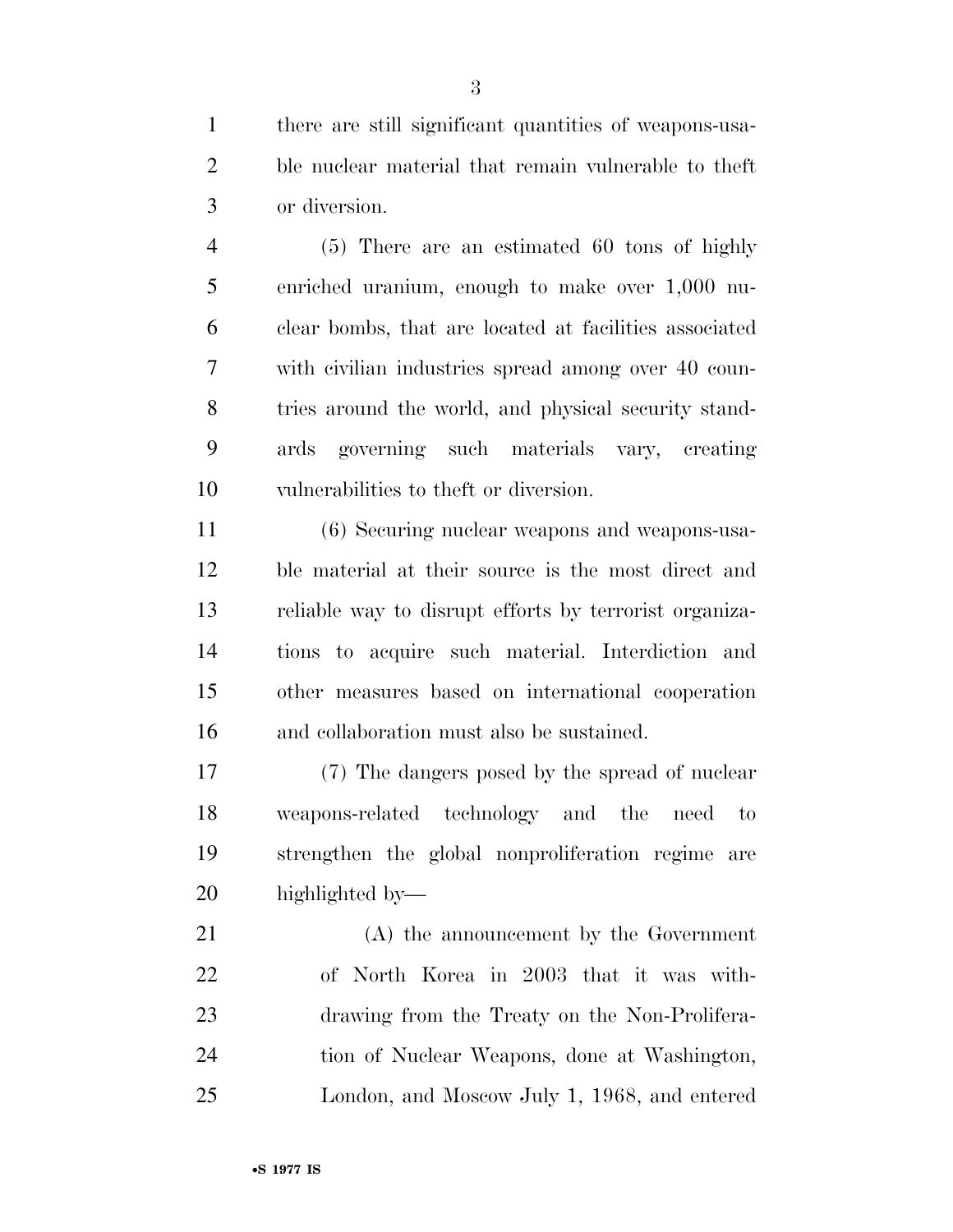there are still significant quantities of weapons-usa- ble nuclear material that remain vulnerable to theft or diversion.

 (5) There are an estimated 60 tons of highly enriched uranium, enough to make over 1,000 nu- clear bombs, that are located at facilities associated with civilian industries spread among over 40 coun- tries around the world, and physical security stand- ards governing such materials vary, creating vulnerabilities to theft or diversion.

 (6) Securing nuclear weapons and weapons-usa- ble material at their source is the most direct and reliable way to disrupt efforts by terrorist organiza- tions to acquire such material. Interdiction and other measures based on international cooperation and collaboration must also be sustained.

 (7) The dangers posed by the spread of nuclear weapons-related technology and the need to strengthen the global nonproliferation regime are highlighted by—

 (A) the announcement by the Government of North Korea in 2003 that it was with- drawing from the Treaty on the Non-Prolifera- tion of Nuclear Weapons, done at Washington, London, and Moscow July 1, 1968, and entered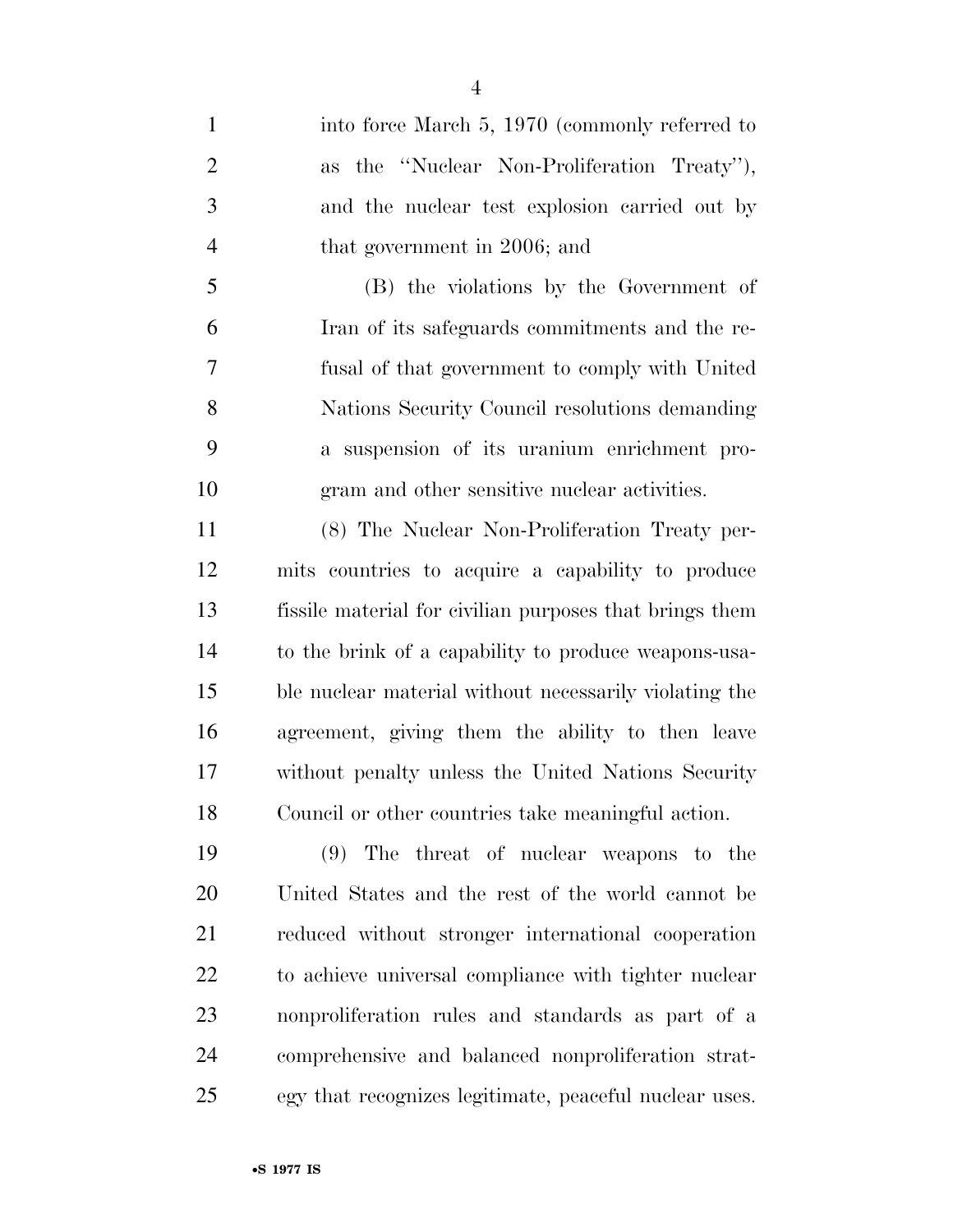1 into force March 5, 1970 (commonly referred to as the ''Nuclear Non-Proliferation Treaty''), and the nuclear test explosion carried out by that government in 2006; and (B) the violations by the Government of

 Iran of its safeguards commitments and the re- fusal of that government to comply with United Nations Security Council resolutions demanding a suspension of its uranium enrichment pro-gram and other sensitive nuclear activities.

 (8) The Nuclear Non-Proliferation Treaty per- mits countries to acquire a capability to produce fissile material for civilian purposes that brings them to the brink of a capability to produce weapons-usa- ble nuclear material without necessarily violating the agreement, giving them the ability to then leave without penalty unless the United Nations Security Council or other countries take meaningful action.

 (9) The threat of nuclear weapons to the United States and the rest of the world cannot be reduced without stronger international cooperation to achieve universal compliance with tighter nuclear nonproliferation rules and standards as part of a comprehensive and balanced nonproliferation strat-egy that recognizes legitimate, peaceful nuclear uses.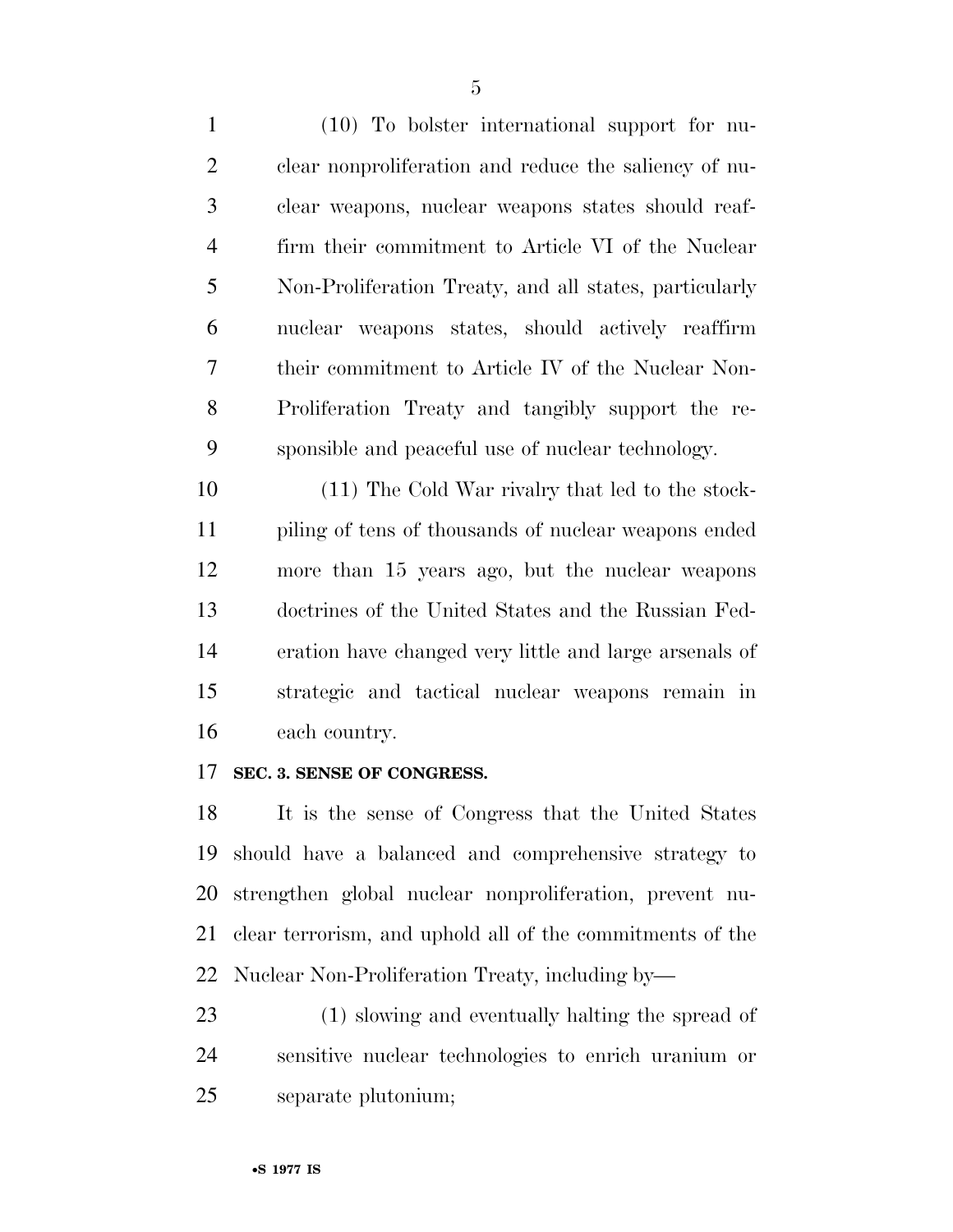(10) To bolster international support for nu- clear nonproliferation and reduce the saliency of nu- clear weapons, nuclear weapons states should reaf- firm their commitment to Article VI of the Nuclear Non-Proliferation Treaty, and all states, particularly nuclear weapons states, should actively reaffirm their commitment to Article IV of the Nuclear Non- Proliferation Treaty and tangibly support the re-sponsible and peaceful use of nuclear technology.

 (11) The Cold War rivalry that led to the stock- piling of tens of thousands of nuclear weapons ended more than 15 years ago, but the nuclear weapons doctrines of the United States and the Russian Fed- eration have changed very little and large arsenals of strategic and tactical nuclear weapons remain in each country.

#### **SEC. 3. SENSE OF CONGRESS.**

 It is the sense of Congress that the United States should have a balanced and comprehensive strategy to strengthen global nuclear nonproliferation, prevent nu- clear terrorism, and uphold all of the commitments of the Nuclear Non-Proliferation Treaty, including by—

 (1) slowing and eventually halting the spread of sensitive nuclear technologies to enrich uranium or separate plutonium;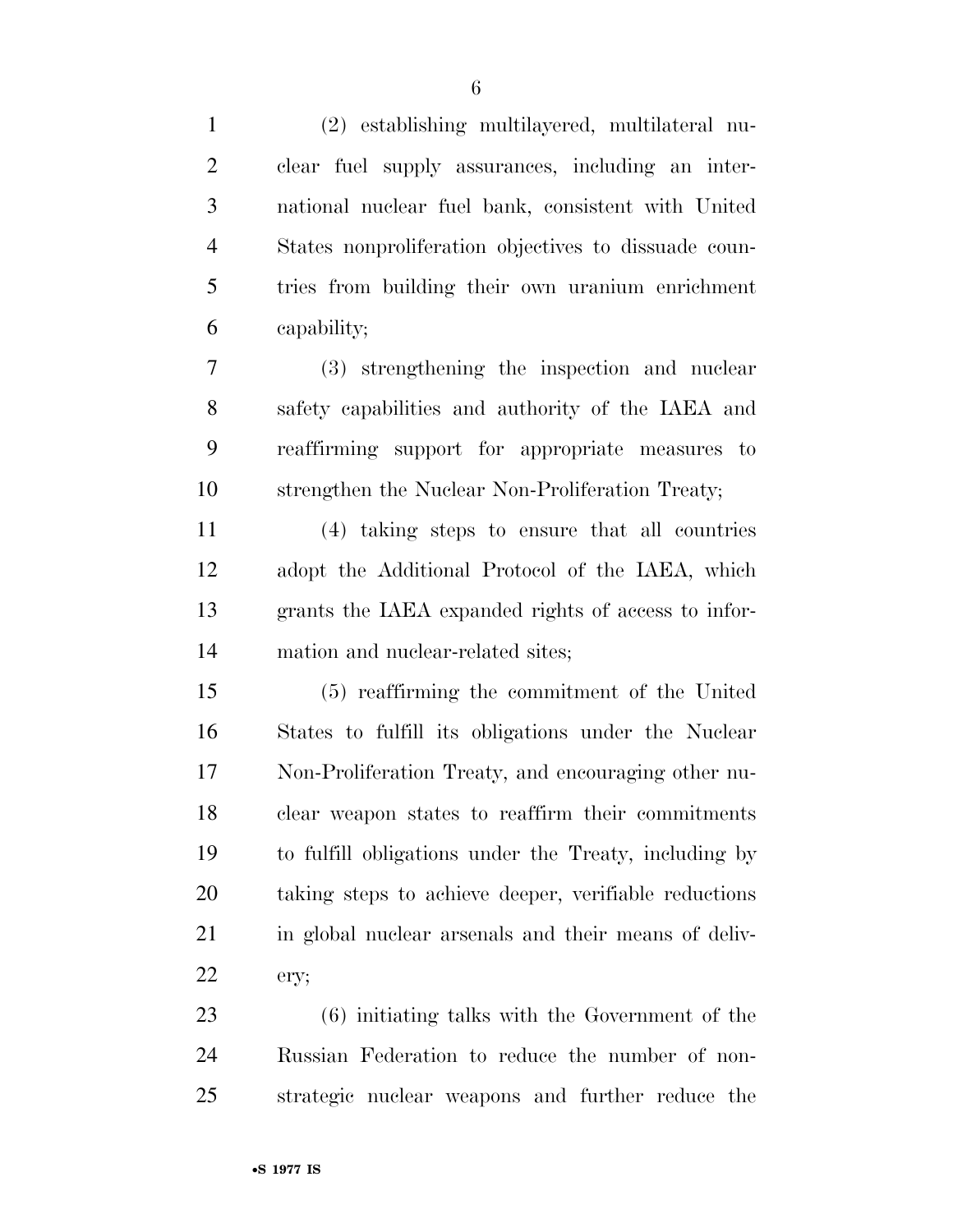(2) establishing multilayered, multilateral nu- clear fuel supply assurances, including an inter- national nuclear fuel bank, consistent with United States nonproliferation objectives to dissuade coun- tries from building their own uranium enrichment capability; (3) strengthening the inspection and nuclear

 safety capabilities and authority of the IAEA and reaffirming support for appropriate measures to strengthen the Nuclear Non-Proliferation Treaty;

 (4) taking steps to ensure that all countries adopt the Additional Protocol of the IAEA, which grants the IAEA expanded rights of access to infor-mation and nuclear-related sites;

 (5) reaffirming the commitment of the United States to fulfill its obligations under the Nuclear Non-Proliferation Treaty, and encouraging other nu- clear weapon states to reaffirm their commitments to fulfill obligations under the Treaty, including by taking steps to achieve deeper, verifiable reductions 21 in global nuclear arsenals and their means of deliv-ery;

 (6) initiating talks with the Government of the Russian Federation to reduce the number of non-strategic nuclear weapons and further reduce the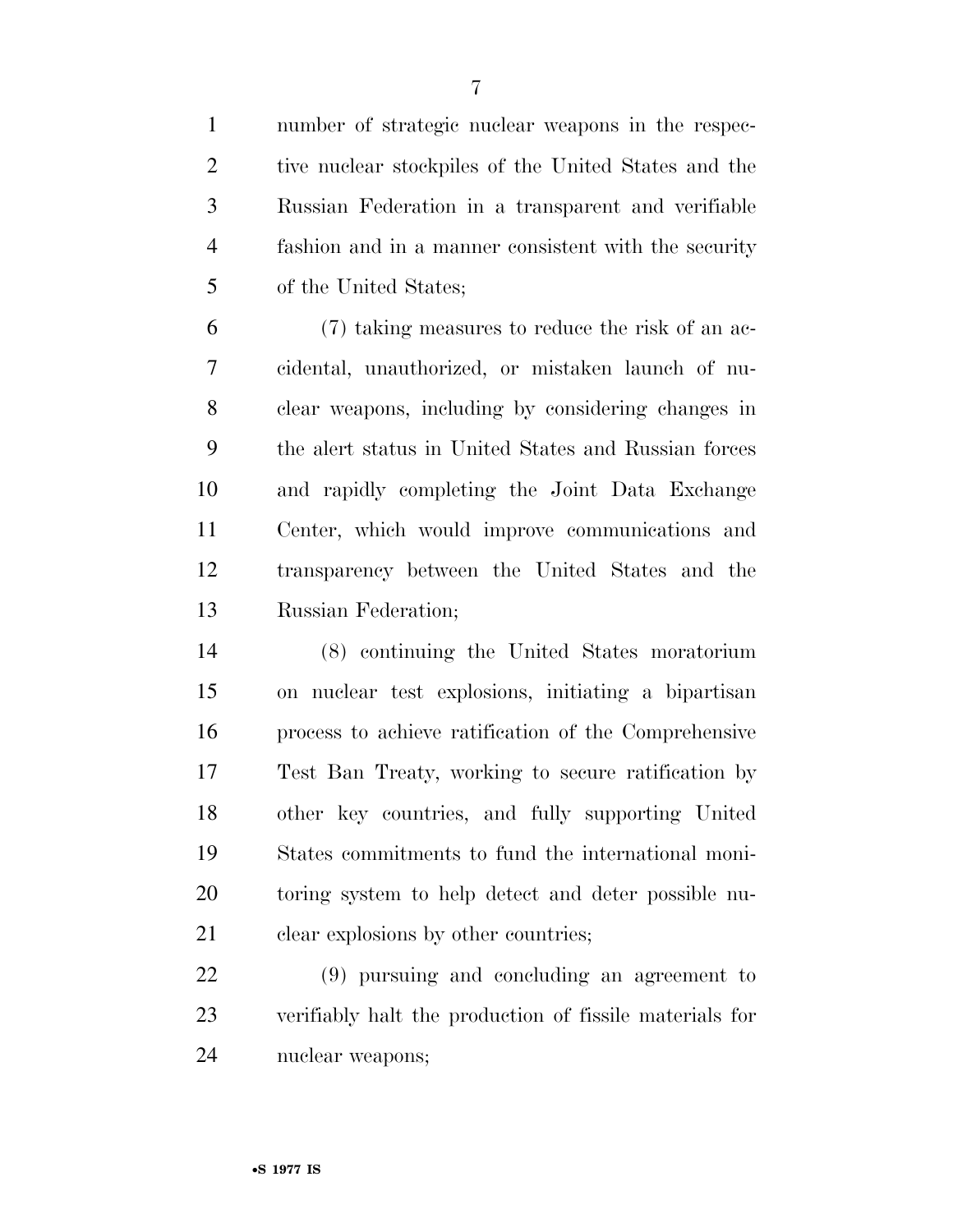number of strategic nuclear weapons in the respec-2 tive nuclear stockpiles of the United States and the Russian Federation in a transparent and verifiable fashion and in a manner consistent with the security of the United States;

 (7) taking measures to reduce the risk of an ac- cidental, unauthorized, or mistaken launch of nu- clear weapons, including by considering changes in the alert status in United States and Russian forces and rapidly completing the Joint Data Exchange Center, which would improve communications and transparency between the United States and the Russian Federation;

 (8) continuing the United States moratorium on nuclear test explosions, initiating a bipartisan process to achieve ratification of the Comprehensive Test Ban Treaty, working to secure ratification by other key countries, and fully supporting United States commitments to fund the international moni- toring system to help detect and deter possible nu-21 clear explosions by other countries;

 (9) pursuing and concluding an agreement to verifiably halt the production of fissile materials for nuclear weapons;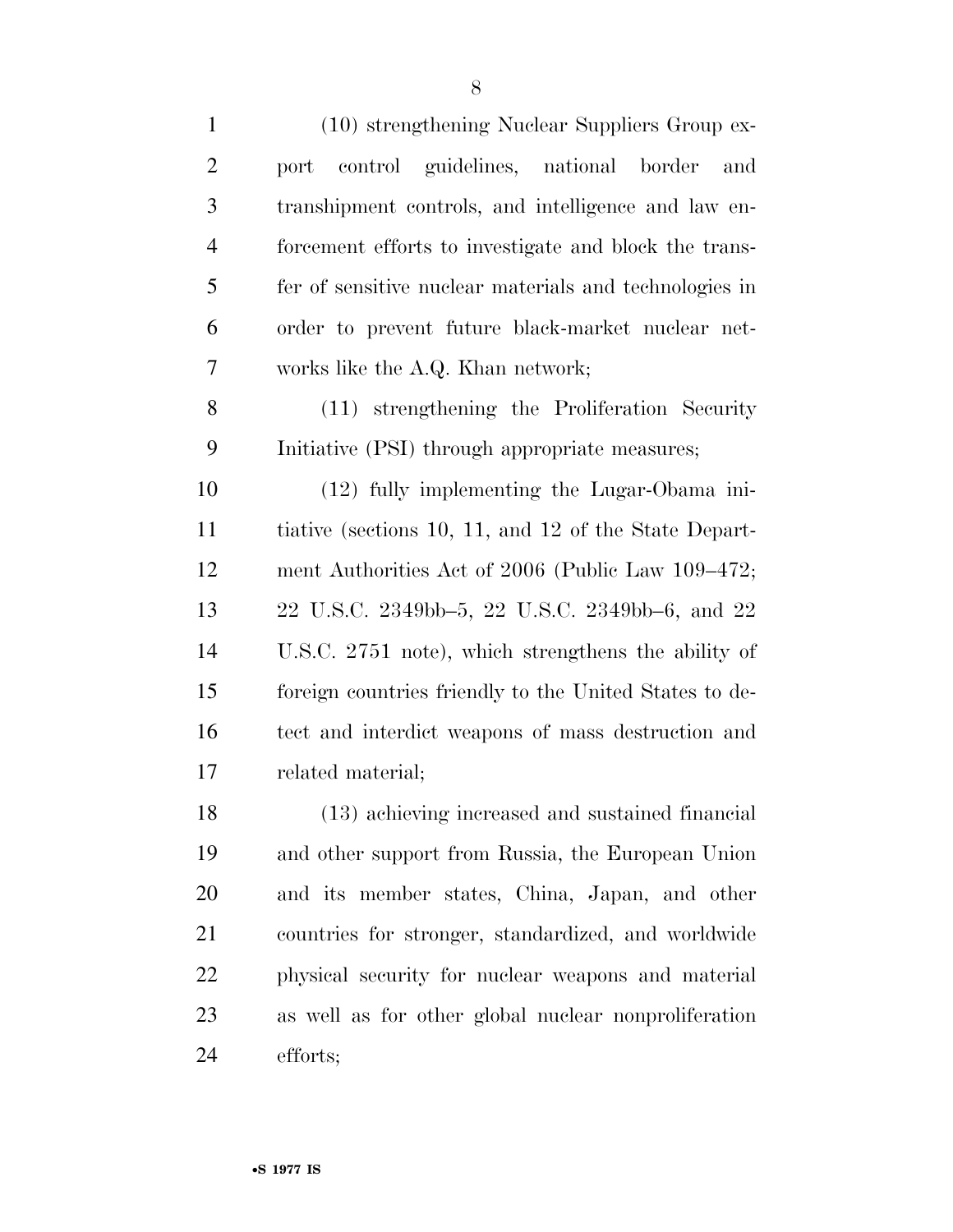| $\mathbf{1}$   | (10) strengthening Nuclear Suppliers Group ex-         |
|----------------|--------------------------------------------------------|
| $\overline{2}$ | port control guidelines, national border<br>and        |
| 3              | transhipment controls, and intelligence and law en-    |
| $\overline{4}$ | forcement efforts to investigate and block the trans-  |
| 5              | fer of sensitive nuclear materials and technologies in |
| 6              | order to prevent future black-market nuclear net-      |
| 7              | works like the A.Q. Khan network;                      |
| 8              | (11) strengthening the Proliferation Security          |
| 9              | Initiative (PSI) through appropriate measures;         |
| 10             | (12) fully implementing the Lugar-Obama ini-           |
| 11             | tiative (sections 10, 11, and 12 of the State Depart-  |
| 12             | ment Authorities Act of 2006 (Public Law 109–472;      |
| 13             | 22 U.S.C. 2349bb–5, 22 U.S.C. 2349bb–6, and 22         |
| 14             | U.S.C. 2751 note), which strengthens the ability of    |
| 15             | foreign countries friendly to the United States to de- |
| 16             | tect and interdict weapons of mass destruction and     |
| 17             | related material;                                      |
| 18             | (13) achieving increased and sustained financial       |
| 19             | and other support from Russia, the European Union      |
| 20             | and its member states, China, Japan, and other         |
| 21             | countries for stronger, standardized, and worldwide    |
| 22             | physical security for nuclear weapons and material     |
| 23             | as well as for other global nuclear nonproliferation   |
| 24             | efforts;                                               |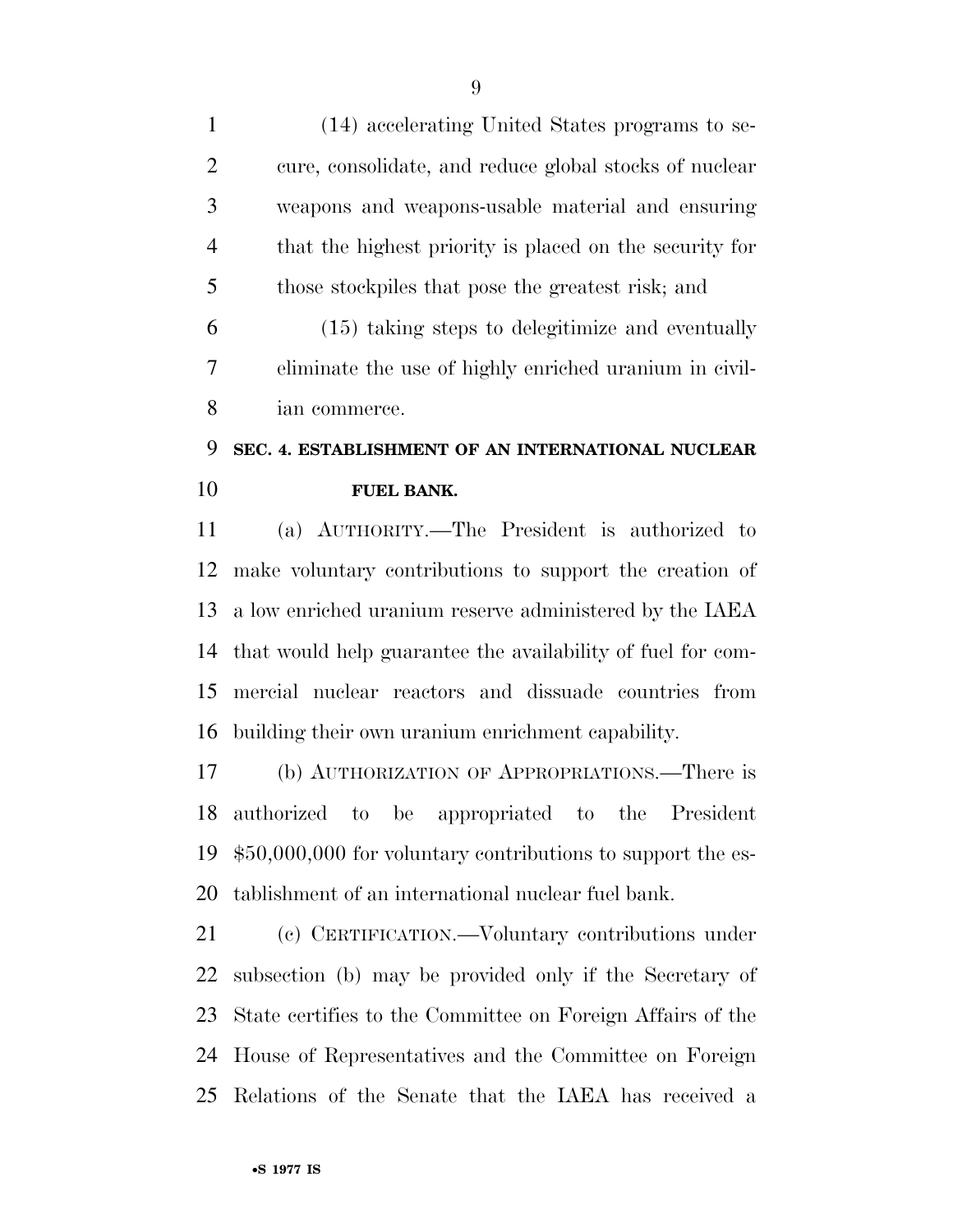(14) accelerating United States programs to se- cure, consolidate, and reduce global stocks of nuclear weapons and weapons-usable material and ensuring that the highest priority is placed on the security for those stockpiles that pose the greatest risk; and

 (15) taking steps to delegitimize and eventually eliminate the use of highly enriched uranium in civil-ian commerce.

## **SEC. 4. ESTABLISHMENT OF AN INTERNATIONAL NUCLEAR FUEL BANK.**

 (a) AUTHORITY.—The President is authorized to make voluntary contributions to support the creation of a low enriched uranium reserve administered by the IAEA that would help guarantee the availability of fuel for com- mercial nuclear reactors and dissuade countries from building their own uranium enrichment capability.

 (b) AUTHORIZATION OF APPROPRIATIONS.—There is authorized to be appropriated to the President \$50,000,000 for voluntary contributions to support the es-tablishment of an international nuclear fuel bank.

 (c) CERTIFICATION.—Voluntary contributions under subsection (b) may be provided only if the Secretary of State certifies to the Committee on Foreign Affairs of the House of Representatives and the Committee on Foreign Relations of the Senate that the IAEA has received a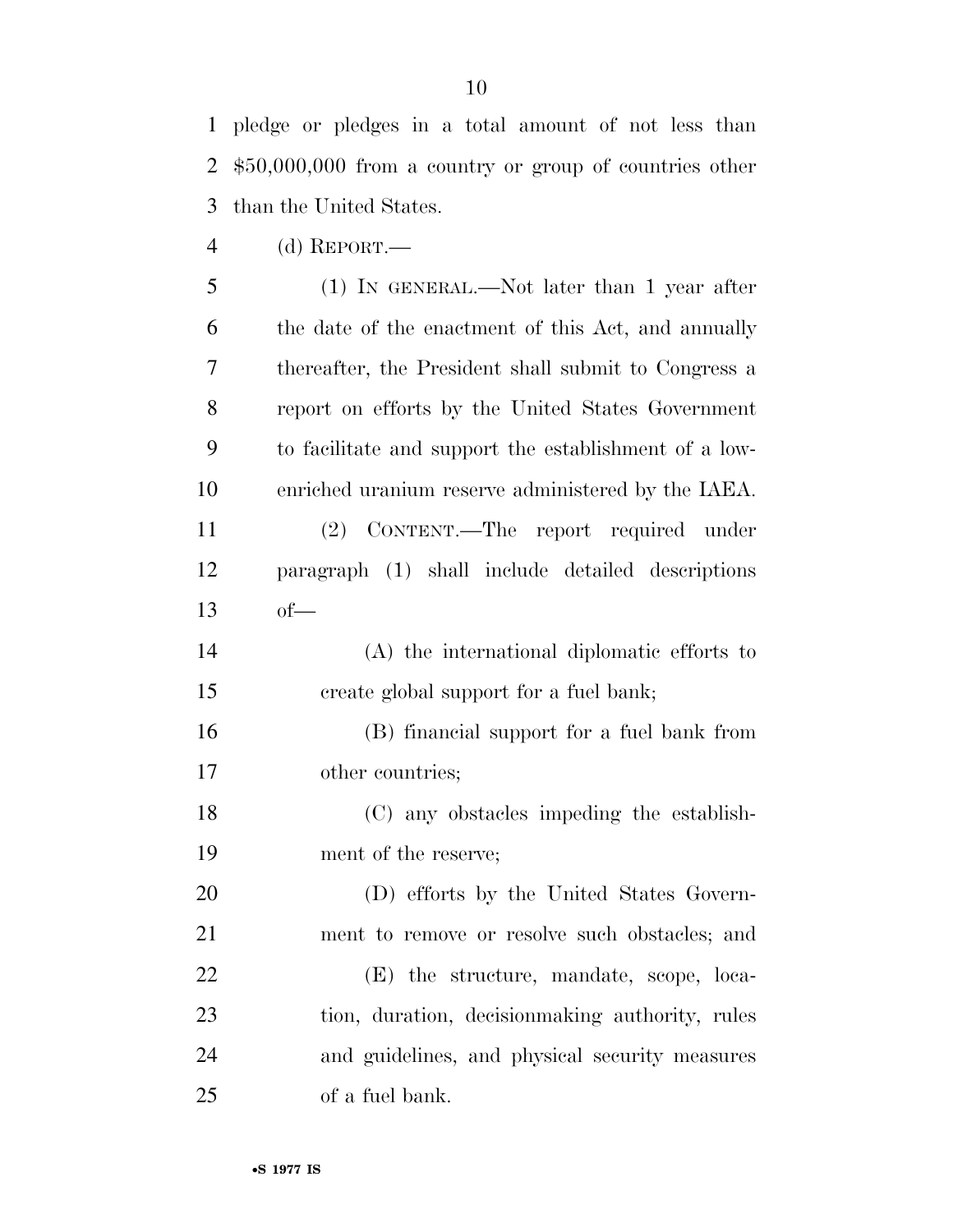pledge or pledges in a total amount of not less than \$50,000,000 from a country or group of countries other than the United States.

(d) REPORT.—

 (1) IN GENERAL.—Not later than 1 year after the date of the enactment of this Act, and annually thereafter, the President shall submit to Congress a report on efforts by the United States Government to facilitate and support the establishment of a low- enriched uranium reserve administered by the IAEA. (2) CONTENT.—The report required under paragraph (1) shall include detailed descriptions of— (A) the international diplomatic efforts to create global support for a fuel bank; (B) financial support for a fuel bank from other countries;

 (C) any obstacles impeding the establish-ment of the reserve;

 (D) efforts by the United States Govern- ment to remove or resolve such obstacles; and (E) the structure, mandate, scope, loca- tion, duration, decisionmaking authority, rules and guidelines, and physical security measures of a fuel bank.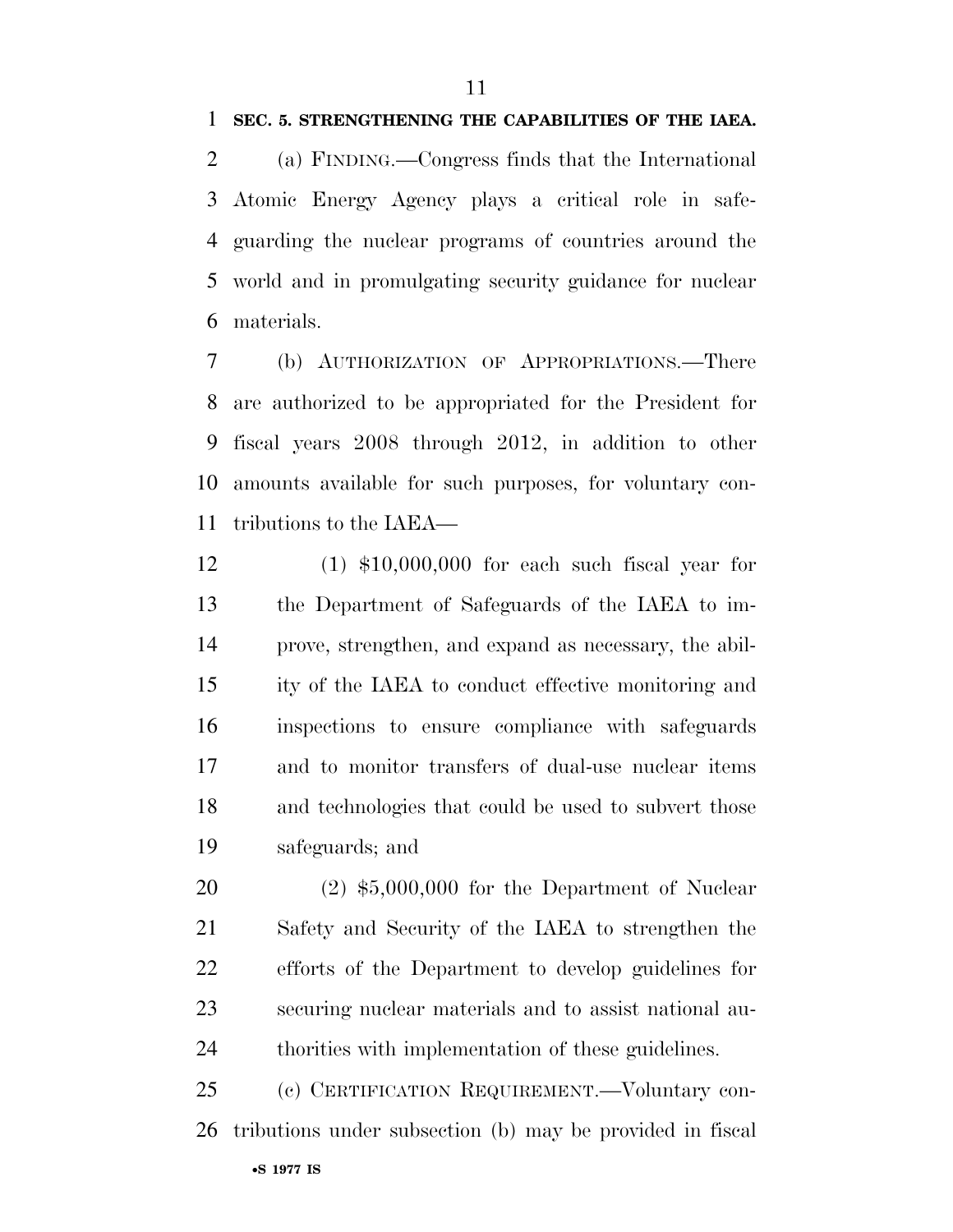(a) FINDING.—Congress finds that the International Atomic Energy Agency plays a critical role in safe- guarding the nuclear programs of countries around the world and in promulgating security guidance for nuclear materials.

 (b) AUTHORIZATION OF APPROPRIATIONS.—There are authorized to be appropriated for the President for fiscal years 2008 through 2012, in addition to other amounts available for such purposes, for voluntary con-tributions to the IAEA—

 (1) \$10,000,000 for each such fiscal year for the Department of Safeguards of the IAEA to im- prove, strengthen, and expand as necessary, the abil- ity of the IAEA to conduct effective monitoring and inspections to ensure compliance with safeguards and to monitor transfers of dual-use nuclear items and technologies that could be used to subvert those safeguards; and

 (2) \$5,000,000 for the Department of Nuclear Safety and Security of the IAEA to strengthen the efforts of the Department to develop guidelines for securing nuclear materials and to assist national au-thorities with implementation of these guidelines.

•**S 1977 IS** (c) CERTIFICATION REQUIREMENT.—Voluntary con-tributions under subsection (b) may be provided in fiscal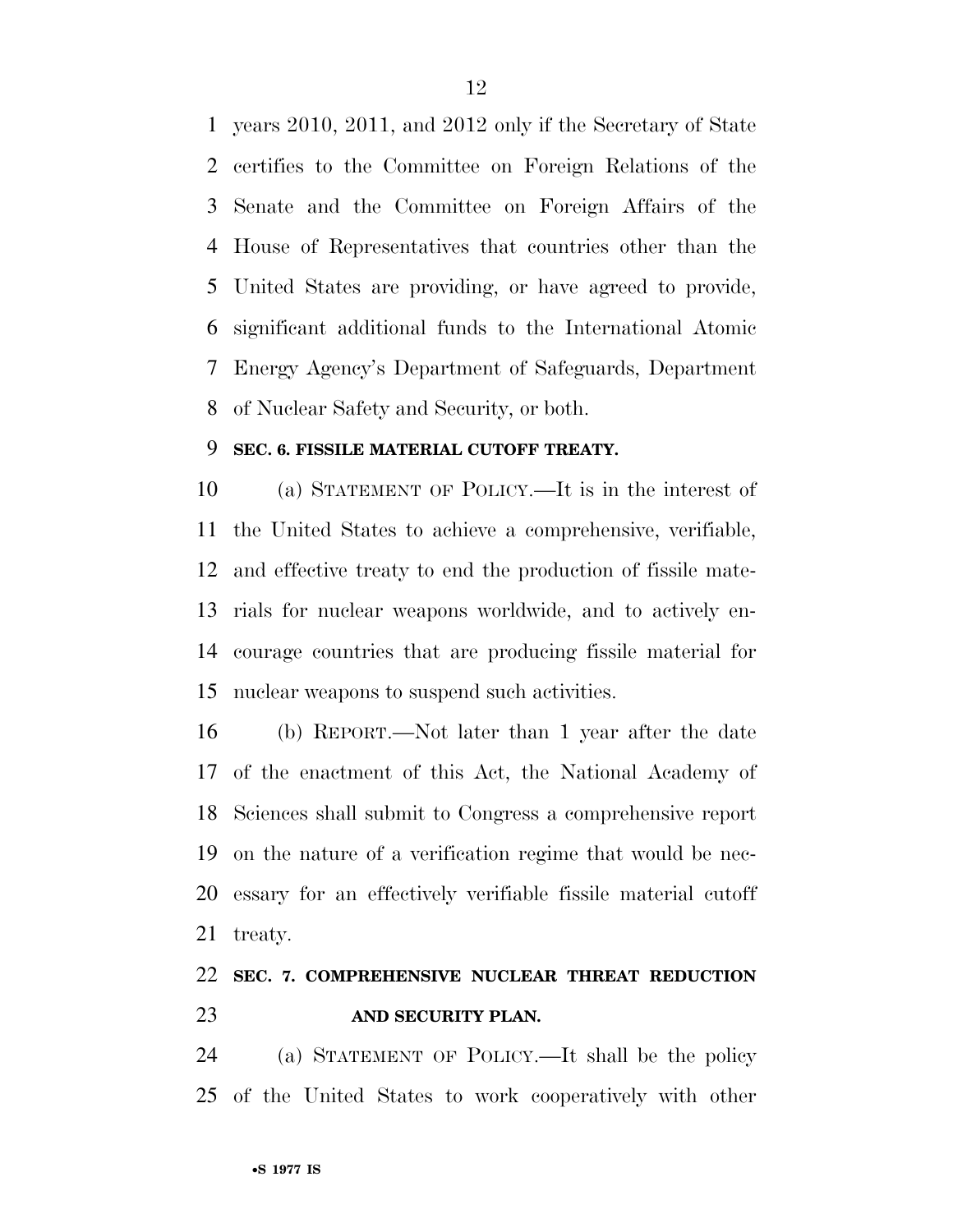years 2010, 2011, and 2012 only if the Secretary of State certifies to the Committee on Foreign Relations of the Senate and the Committee on Foreign Affairs of the House of Representatives that countries other than the United States are providing, or have agreed to provide, significant additional funds to the International Atomic Energy Agency's Department of Safeguards, Department of Nuclear Safety and Security, or both.

#### **SEC. 6. FISSILE MATERIAL CUTOFF TREATY.**

 (a) STATEMENT OF POLICY.—It is in the interest of the United States to achieve a comprehensive, verifiable, and effective treaty to end the production of fissile mate- rials for nuclear weapons worldwide, and to actively en- courage countries that are producing fissile material for nuclear weapons to suspend such activities.

 (b) REPORT.—Not later than 1 year after the date of the enactment of this Act, the National Academy of Sciences shall submit to Congress a comprehensive report on the nature of a verification regime that would be nec- essary for an effectively verifiable fissile material cutoff treaty.

### **SEC. 7. COMPREHENSIVE NUCLEAR THREAT REDUCTION AND SECURITY PLAN.**

 (a) STATEMENT OF POLICY.—It shall be the policy of the United States to work cooperatively with other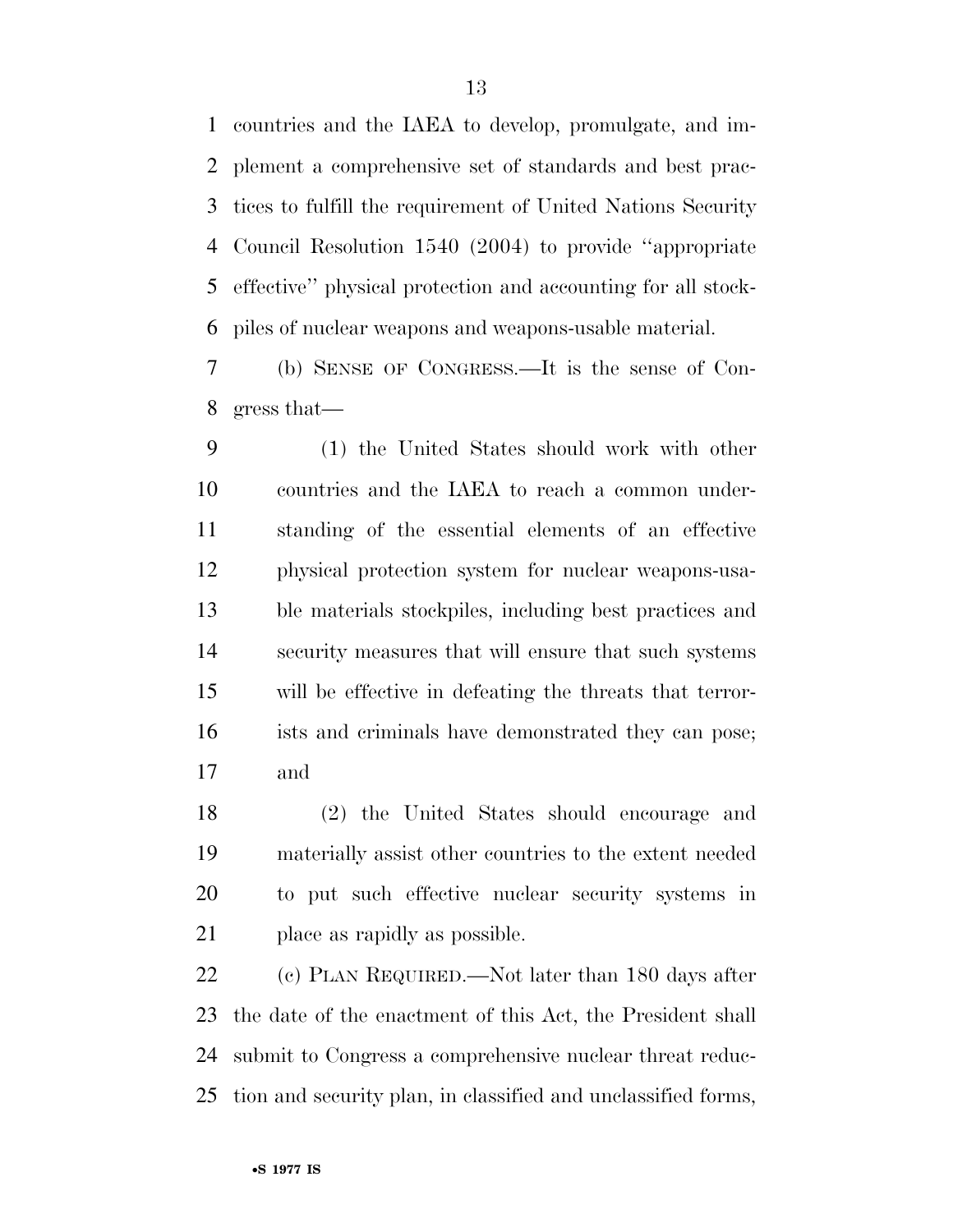countries and the IAEA to develop, promulgate, and im- plement a comprehensive set of standards and best prac- tices to fulfill the requirement of United Nations Security Council Resolution 1540 (2004) to provide ''appropriate effective'' physical protection and accounting for all stock-piles of nuclear weapons and weapons-usable material.

 (b) SENSE OF CONGRESS.—It is the sense of Con-gress that—

 (1) the United States should work with other countries and the IAEA to reach a common under- standing of the essential elements of an effective physical protection system for nuclear weapons-usa- ble materials stockpiles, including best practices and security measures that will ensure that such systems will be effective in defeating the threats that terror- ists and criminals have demonstrated they can pose; and

 (2) the United States should encourage and materially assist other countries to the extent needed to put such effective nuclear security systems in place as rapidly as possible.

 (c) PLAN REQUIRED.—Not later than 180 days after the date of the enactment of this Act, the President shall submit to Congress a comprehensive nuclear threat reduc-tion and security plan, in classified and unclassified forms,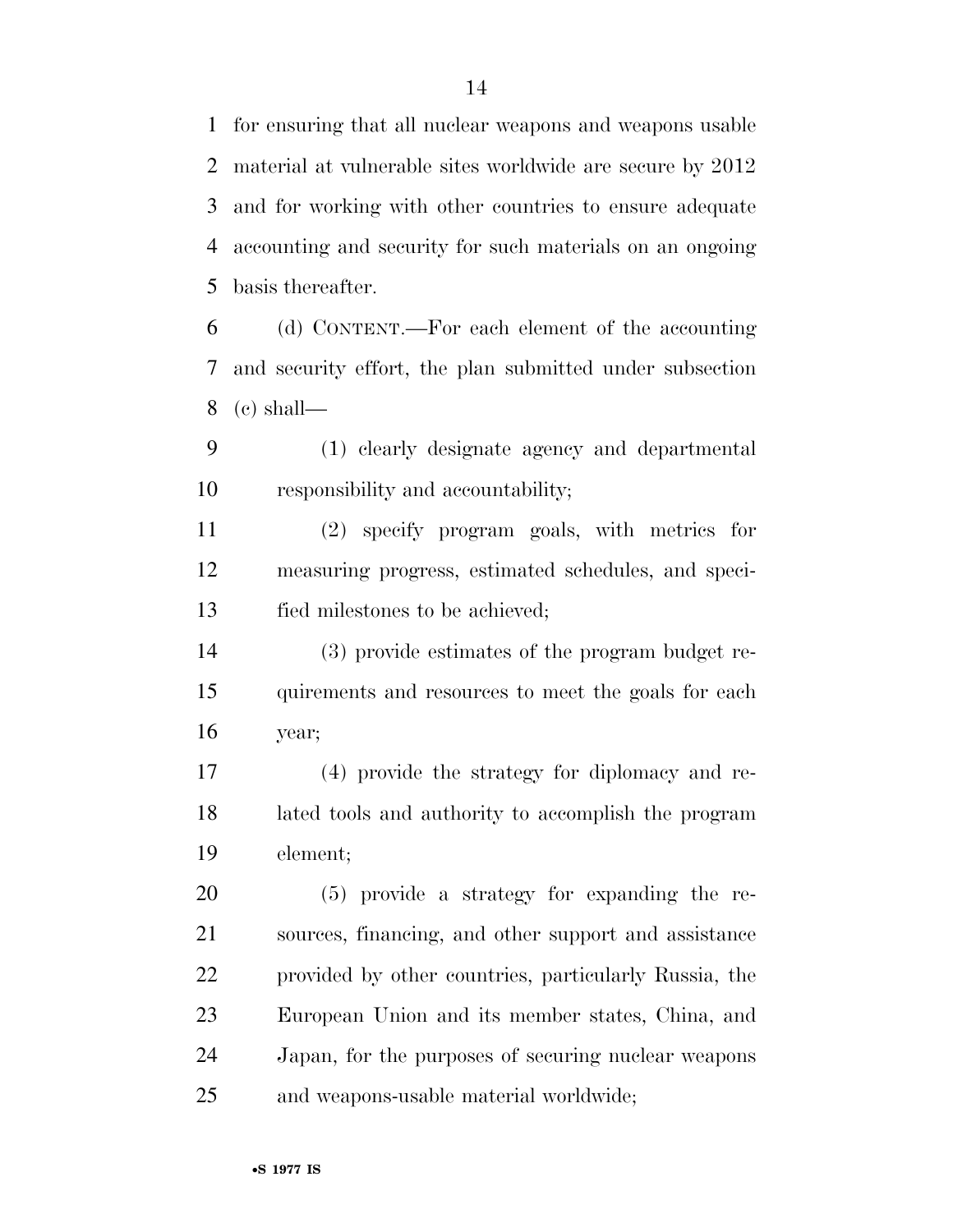for ensuring that all nuclear weapons and weapons usable material at vulnerable sites worldwide are secure by 2012 and for working with other countries to ensure adequate accounting and security for such materials on an ongoing basis thereafter.

 (d) CONTENT.—For each element of the accounting and security effort, the plan submitted under subsection 8 (c) shall—

 (1) clearly designate agency and departmental responsibility and accountability;

 (2) specify program goals, with metrics for measuring progress, estimated schedules, and speci-fied milestones to be achieved;

 (3) provide estimates of the program budget re- quirements and resources to meet the goals for each year;

 (4) provide the strategy for diplomacy and re- lated tools and authority to accomplish the program element;

 (5) provide a strategy for expanding the re- sources, financing, and other support and assistance provided by other countries, particularly Russia, the European Union and its member states, China, and Japan, for the purposes of securing nuclear weapons and weapons-usable material worldwide;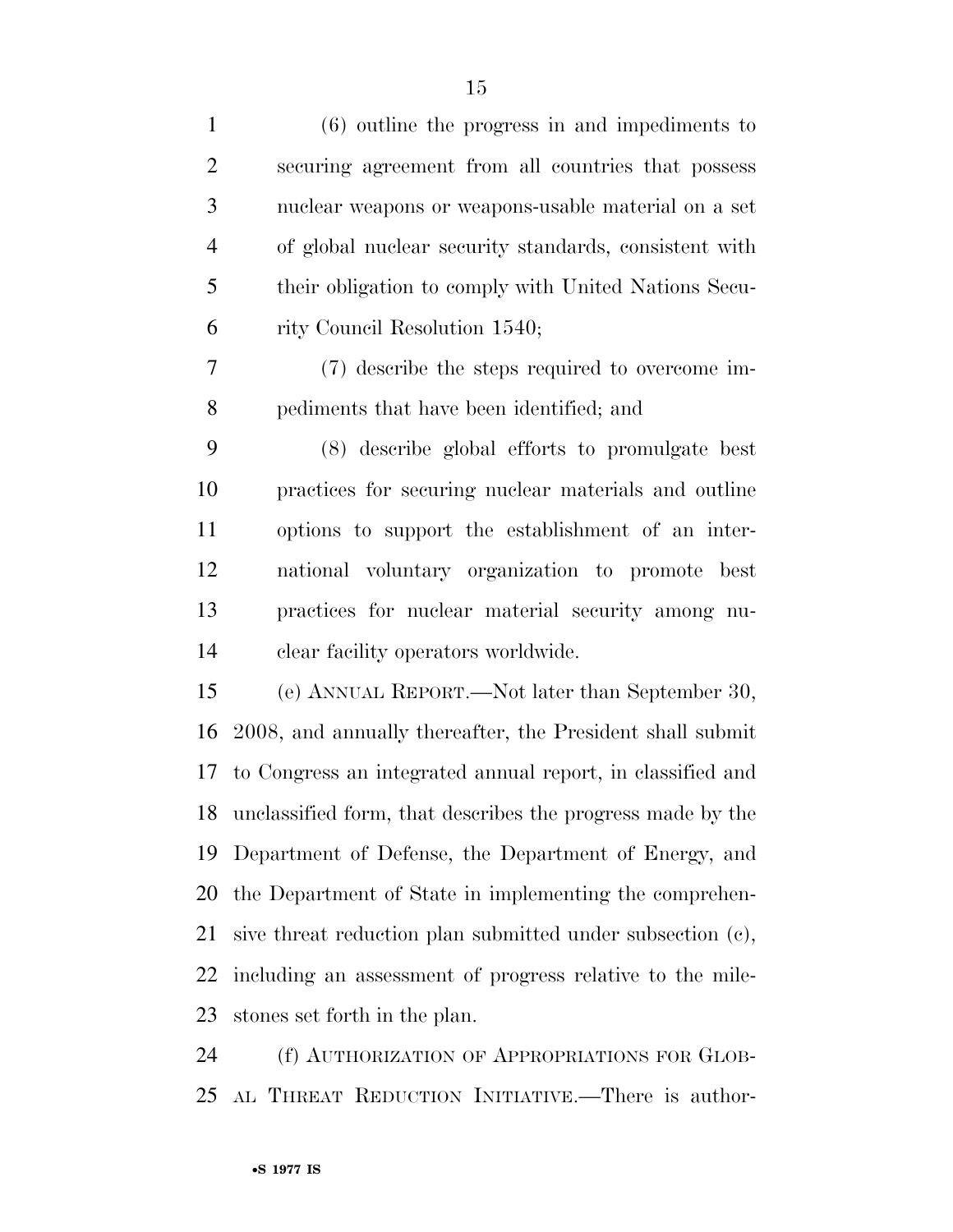| $\mathbf{1}$   | $(6)$ outline the progress in and impediments to           |
|----------------|------------------------------------------------------------|
| $\overline{2}$ | securing agreement from all countries that possess         |
| 3              | nuclear weapons or weapons-usable material on a set        |
| $\overline{4}$ | of global nuclear security standards, consistent with      |
| 5              | their obligation to comply with United Nations Secu-       |
| 6              | rity Council Resolution 1540;                              |
| 7              | (7) describe the steps required to overcome im-            |
| 8              | pediments that have been identified; and                   |
| 9              | (8) describe global efforts to promulgate best             |
| 10             | practices for securing nuclear materials and outline       |
| 11             | options to support the establishment of an inter-          |
| 12             | national voluntary organization to promote best            |
| 13             | practices for nuclear material security among nu-          |
| 14             | clear facility operators worldwide.                        |
| 15             | (e) ANNUAL REPORT.—Not later than September 30,            |
| 16             | 2008, and annually thereafter, the President shall submit  |
| 17             | to Congress an integrated annual report, in classified and |
| 18             | unclassified form, that describes the progress made by the |
| 19             | Department of Defense, the Department of Energy, and       |
| 20             | the Department of State in implementing the comprehen-     |
| 21             | sive threat reduction plan submitted under subsection (c), |
| 22             | including an assessment of progress relative to the mile-  |
| 23             | stones set forth in the plan.                              |
| 24             | (f) AUTHORIZATION OF APPROPRIATIONS FOR GLOB-              |

AL THREAT REDUCTION INITIATIVE.—There is author-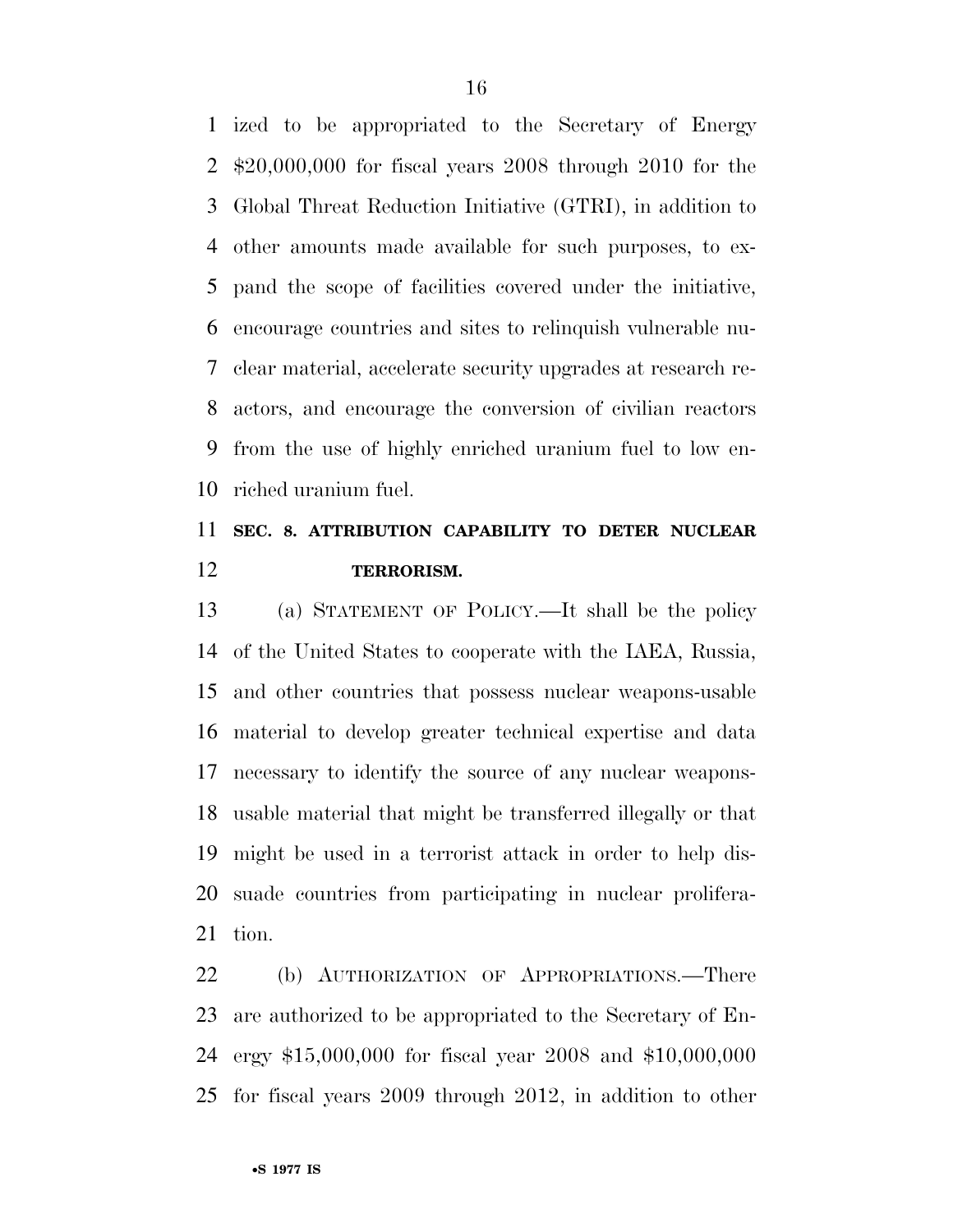ized to be appropriated to the Secretary of Energy \$20,000,000 for fiscal years 2008 through 2010 for the Global Threat Reduction Initiative (GTRI), in addition to other amounts made available for such purposes, to ex- pand the scope of facilities covered under the initiative, encourage countries and sites to relinquish vulnerable nu- clear material, accelerate security upgrades at research re- actors, and encourage the conversion of civilian reactors from the use of highly enriched uranium fuel to low en-riched uranium fuel.

## **SEC. 8. ATTRIBUTION CAPABILITY TO DETER NUCLEAR TERRORISM.**

 (a) STATEMENT OF POLICY.—It shall be the policy of the United States to cooperate with the IAEA, Russia, and other countries that possess nuclear weapons-usable material to develop greater technical expertise and data necessary to identify the source of any nuclear weapons- usable material that might be transferred illegally or that might be used in a terrorist attack in order to help dis- suade countries from participating in nuclear prolifera-tion.

 (b) AUTHORIZATION OF APPROPRIATIONS.—There are authorized to be appropriated to the Secretary of En- ergy \$15,000,000 for fiscal year 2008 and \$10,000,000 for fiscal years 2009 through 2012, in addition to other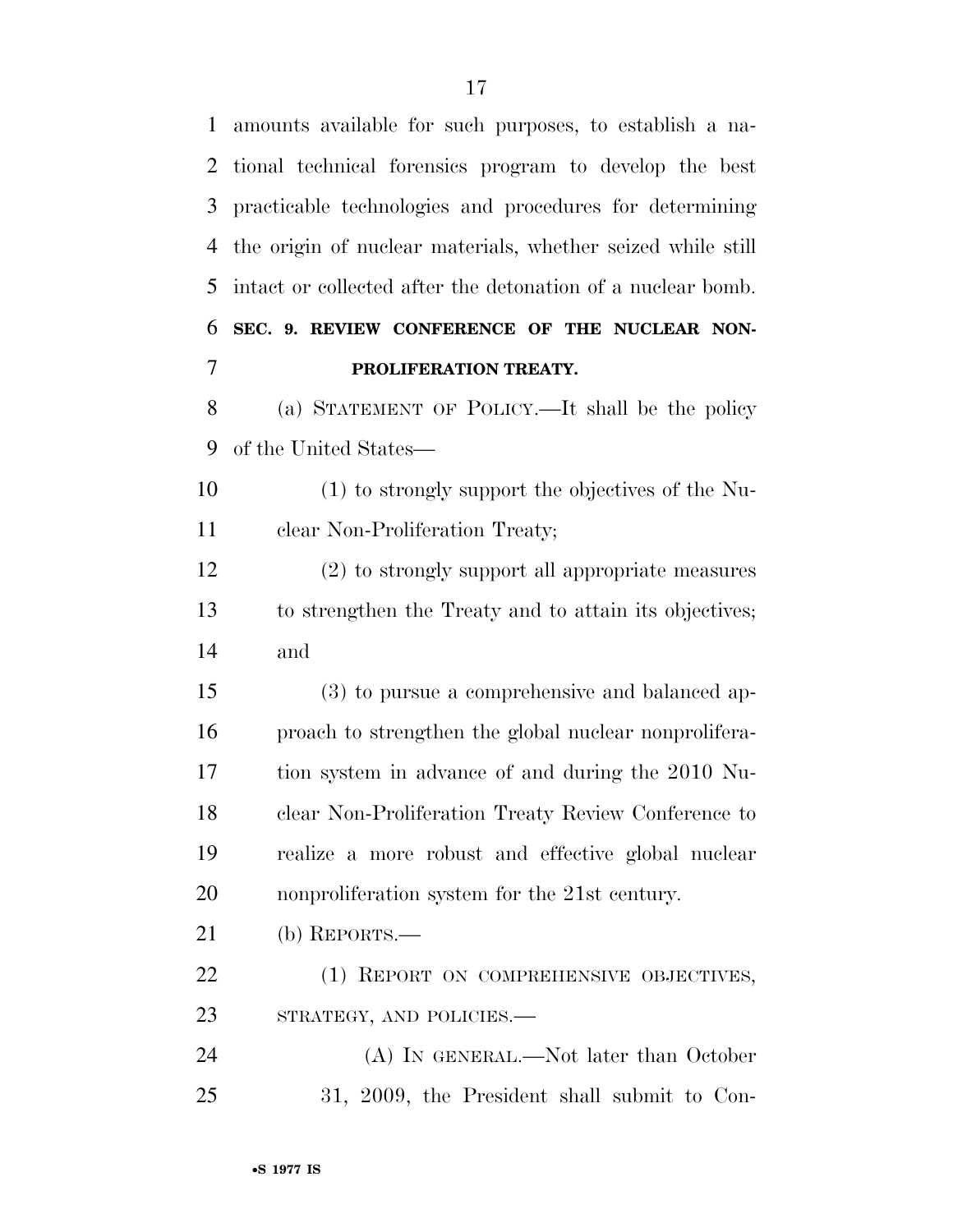amounts available for such purposes, to establish a na- tional technical forensics program to develop the best practicable technologies and procedures for determining the origin of nuclear materials, whether seized while still intact or collected after the detonation of a nuclear bomb. **SEC. 9. REVIEW CONFERENCE OF THE NUCLEAR NON-PROLIFERATION TREATY.** 

 (a) STATEMENT OF POLICY.—It shall be the policy of the United States—

 (1) to strongly support the objectives of the Nu-clear Non-Proliferation Treaty;

 (2) to strongly support all appropriate measures to strengthen the Treaty and to attain its objectives; and

 (3) to pursue a comprehensive and balanced ap- proach to strengthen the global nuclear nonprolifera- tion system in advance of and during the 2010 Nu- clear Non-Proliferation Treaty Review Conference to realize a more robust and effective global nuclear nonproliferation system for the 21st century.

(b) REPORTS.—

22 (1) REPORT ON COMPREHENSIVE OBJECTIVES, 23 STRATEGY, AND POLICIES.

 (A) IN GENERAL.—Not later than October 31, 2009, the President shall submit to Con-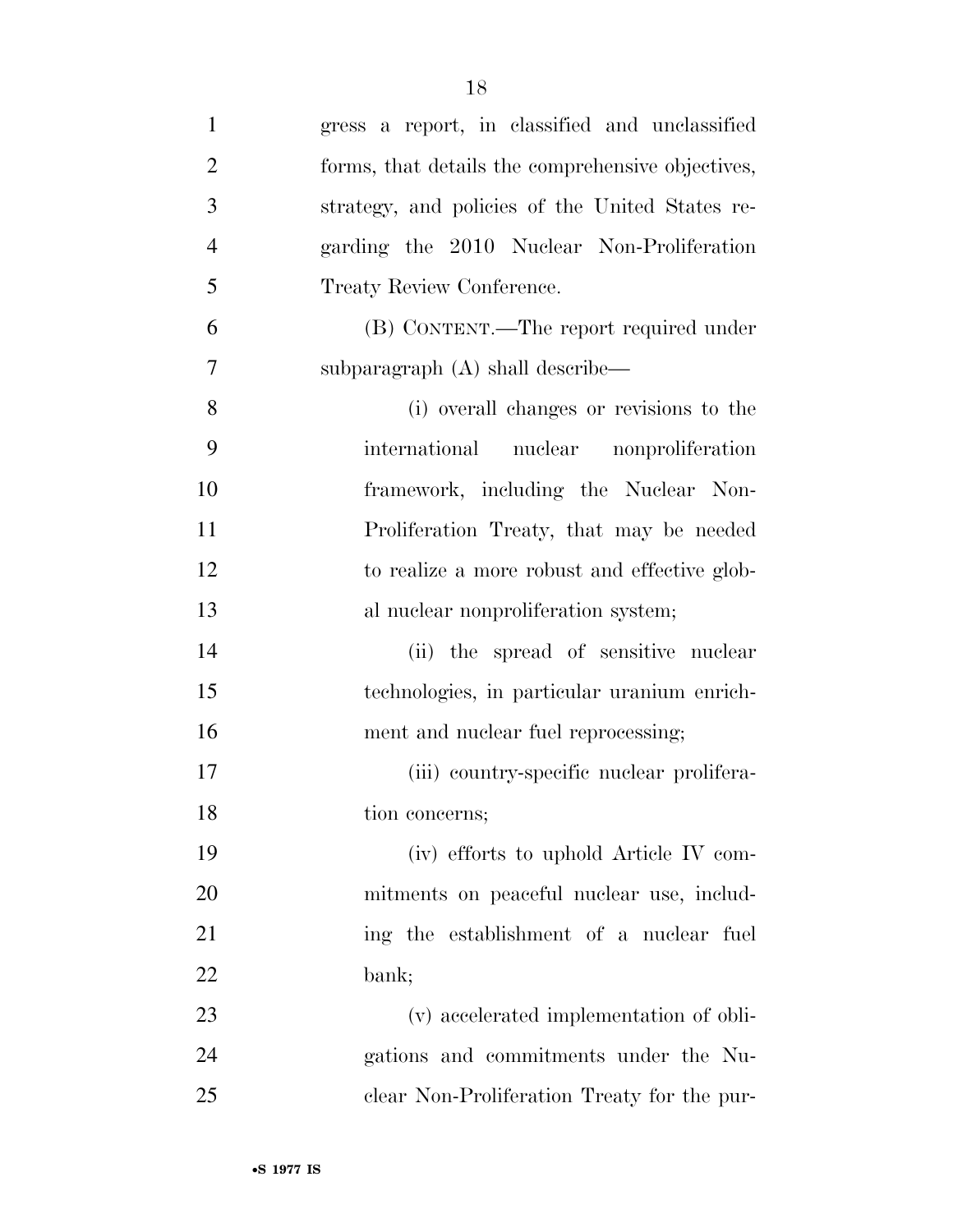| $\mathbf{1}$   | gress a report, in classified and unclassified    |
|----------------|---------------------------------------------------|
| $\overline{2}$ | forms, that details the comprehensive objectives, |
| 3              | strategy, and policies of the United States re-   |
| $\overline{4}$ | garding the 2010 Nuclear Non-Proliferation        |
| 5              | Treaty Review Conference.                         |
| 6              | (B) CONTENT.—The report required under            |
| 7              | subparagraph (A) shall describe—                  |
| 8              | (i) overall changes or revisions to the           |
| 9              | international nuclear nonproliferation            |
| 10             | framework, including the Nuclear Non-             |
| 11             | Proliferation Treaty, that may be needed          |
| 12             | to realize a more robust and effective glob-      |
| 13             | al nuclear nonproliferation system;               |
| 14             | (ii) the spread of sensitive nuclear              |
| 15             | technologies, in particular uranium enrich-       |
| 16             | ment and nuclear fuel reprocessing;               |
| 17             | (iii) country-specific nuclear prolifera-         |
| 18             | tion concerns;                                    |
| 19             | (iv) efforts to uphold Article IV com-            |
| 20             | mitments on peaceful nuclear use, includ-         |
| 21             | ing the establishment of a nuclear fuel           |
| 22             | bank;                                             |
| 23             | (v) accelerated implementation of obli-           |
| 24             | gations and commitments under the Nu-             |
| 25             | clear Non-Proliferation Treaty for the pur-       |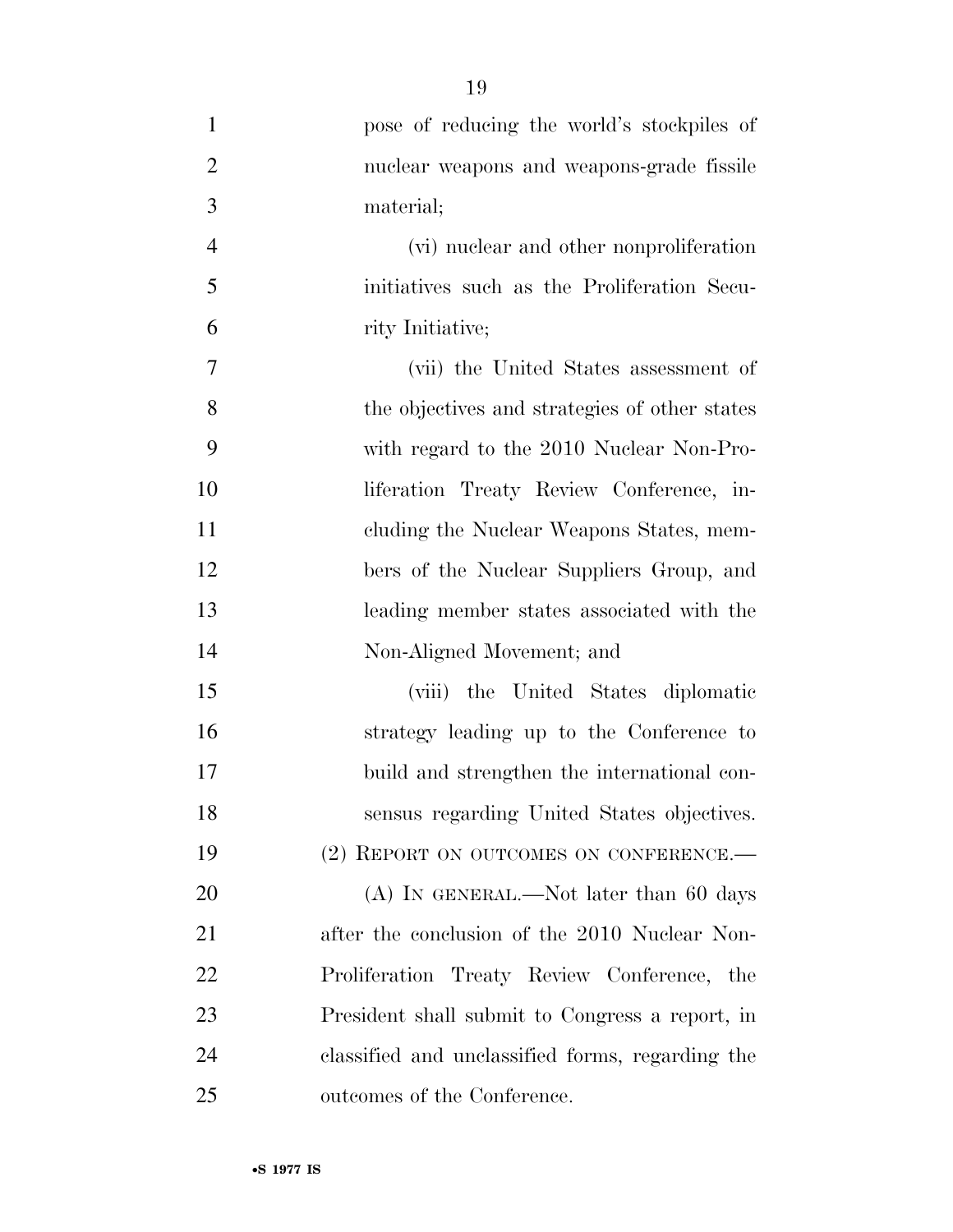| $\mathbf{1}$   | pose of reducing the world's stockpiles of       |
|----------------|--------------------------------------------------|
| $\overline{2}$ | nuclear weapons and weapons-grade fissile        |
| 3              | material;                                        |
| $\overline{4}$ | (vi) nuclear and other nonproliferation          |
| 5              | initiatives such as the Proliferation Secu-      |
| 6              | rity Initiative;                                 |
| 7              | (vii) the United States assessment of            |
| 8              | the objectives and strategies of other states    |
| 9              | with regard to the 2010 Nuclear Non-Pro-         |
| 10             | liferation Treaty Review Conference, in-         |
| 11             | cluding the Nuclear Weapons States, mem-         |
| 12             | bers of the Nuclear Suppliers Group, and         |
| 13             | leading member states associated with the        |
| 14             | Non-Aligned Movement; and                        |
| 15             | (viii) the United States diplomatic              |
| 16             | strategy leading up to the Conference to         |
| 17             | build and strengthen the international con-      |
| 18             | sensus regarding United States objectives.       |
| 19             | (2) REPORT ON OUTCOMES ON CONFERENCE.            |
| 20             | $(A)$ In GENERAL.—Not later than 60 days         |
| 21             | after the conclusion of the 2010 Nuclear Non-    |
| 22             | Proliferation Treaty Review Conference, the      |
| 23             | President shall submit to Congress a report, in  |
| 24             | classified and unclassified forms, regarding the |
| 25             | outcomes of the Conference.                      |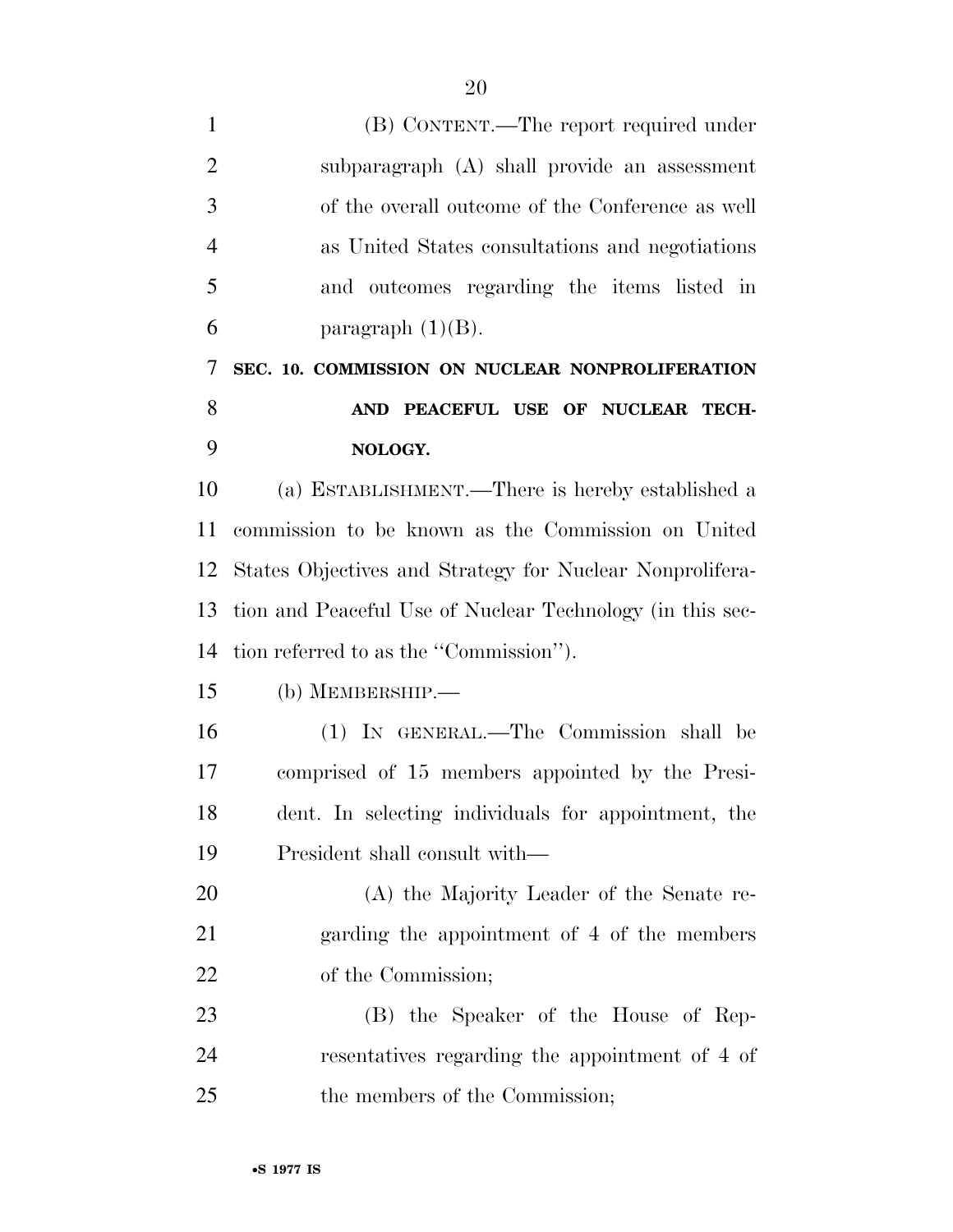| $\mathbf{1}$   | (B) CONTENT.—The report required under                    |
|----------------|-----------------------------------------------------------|
| $\overline{2}$ | subparagraph (A) shall provide an assessment              |
| 3              | of the overall outcome of the Conference as well          |
| $\overline{4}$ | as United States consultations and negotiations           |
| 5              | and outcomes regarding the items listed in                |
| 6              | paragraph $(1)(B)$ .                                      |
| 7              | SEC. 10. COMMISSION ON NUCLEAR NONPROLIFERATION           |
| 8              | AND PEACEFUL USE OF NUCLEAR TECH-                         |
| 9              | NOLOGY.                                                   |
| 10             | (a) ESTABLISHMENT.—There is hereby established a          |
| 11             | commission to be known as the Commission on United        |
| 12             | States Objectives and Strategy for Nuclear Nonprolifera-  |
| 13             | tion and Peaceful Use of Nuclear Technology (in this sec- |
| 14             | tion referred to as the "Commission").                    |
| 15             | $(b)$ MEMBERSHIP.—                                        |
| 16             | (1) IN GENERAL.—The Commission shall be                   |
| 17             | comprised of 15 members appointed by the Presi-           |
| 18             | dent. In selecting individuals for appointment, the       |
| 19             | President shall consult with—                             |
| 20             | (A) the Majority Leader of the Senate re-                 |
| 21             | garding the appointment of 4 of the members               |
| 22             | of the Commission;                                        |
| 23             | (B) the Speaker of the House of Rep-                      |
| 24             | resentatives regarding the appointment of 4 of            |
| 25             | the members of the Commission;                            |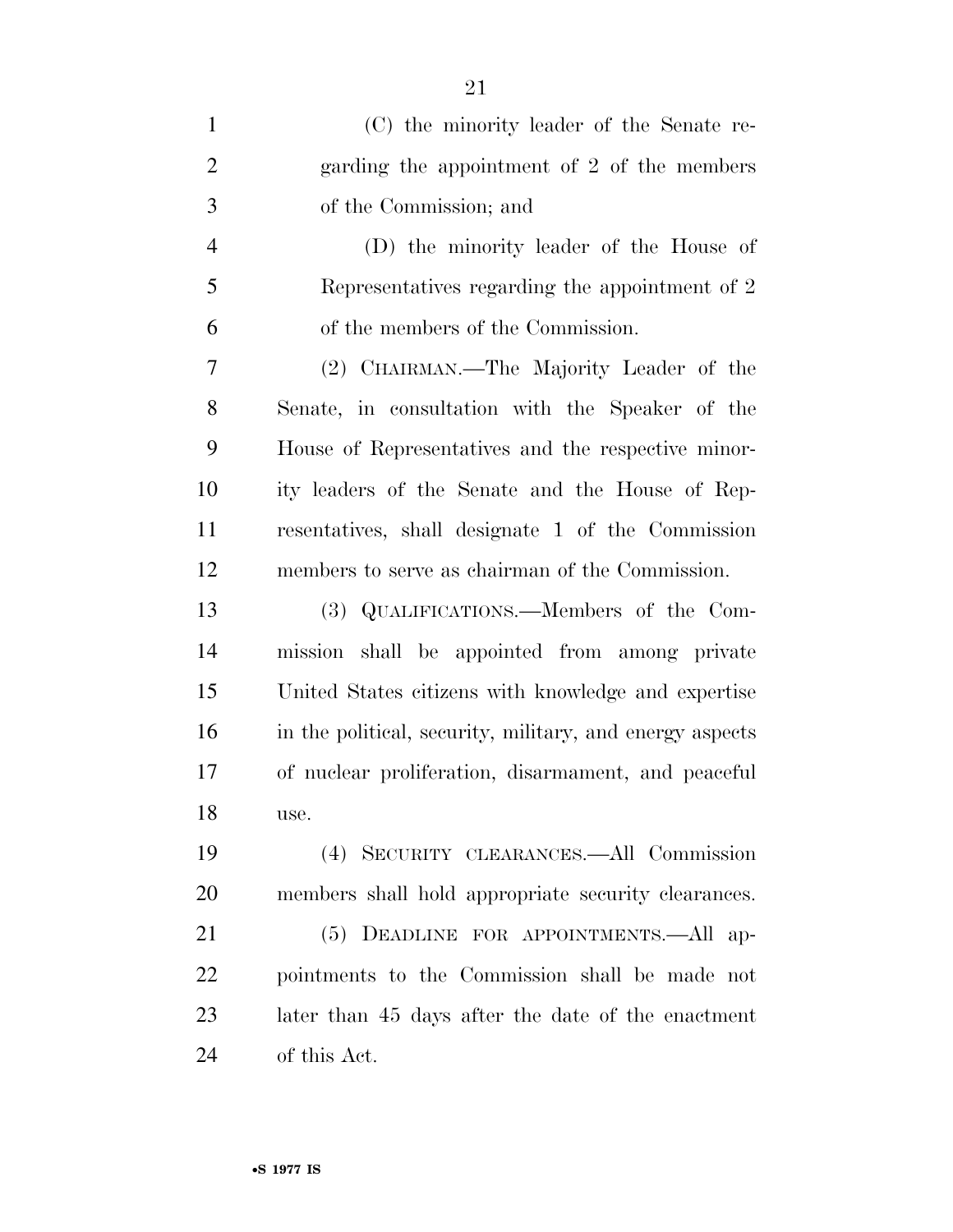| $\mathbf{1}$   | (C) the minority leader of the Senate re-                |
|----------------|----------------------------------------------------------|
| $\overline{2}$ | garding the appointment of 2 of the members              |
| 3              | of the Commission; and                                   |
| $\overline{4}$ | (D) the minority leader of the House of                  |
| 5              | Representatives regarding the appointment of 2           |
| 6              | of the members of the Commission.                        |
| 7              | (2) CHAIRMAN.—The Majority Leader of the                 |
| 8              | Senate, in consultation with the Speaker of the          |
| 9              | House of Representatives and the respective minor-       |
| 10             | ity leaders of the Senate and the House of Rep-          |
| 11             | resentatives, shall designate 1 of the Commission        |
| 12             | members to serve as chairman of the Commission.          |
| 13             | (3) QUALIFICATIONS.—Members of the Com-                  |
| 14             | mission shall be appointed from among private            |
| 15             | United States citizens with knowledge and expertise      |
| 16             | in the political, security, military, and energy aspects |
| 17             | of nuclear proliferation, disarmament, and peaceful      |
| 18             | use.                                                     |
| 19             | (4) SECURITY CLEARANCES.—All Commission                  |
| 20             | members shall hold appropriate security clearances.      |
| 21             | (5) DEADLINE FOR APPOINTMENTS.—All ap-                   |
| 22             | pointments to the Commission shall be made not           |
| 23             | later than 45 days after the date of the enactment       |
| 24             | of this Act.                                             |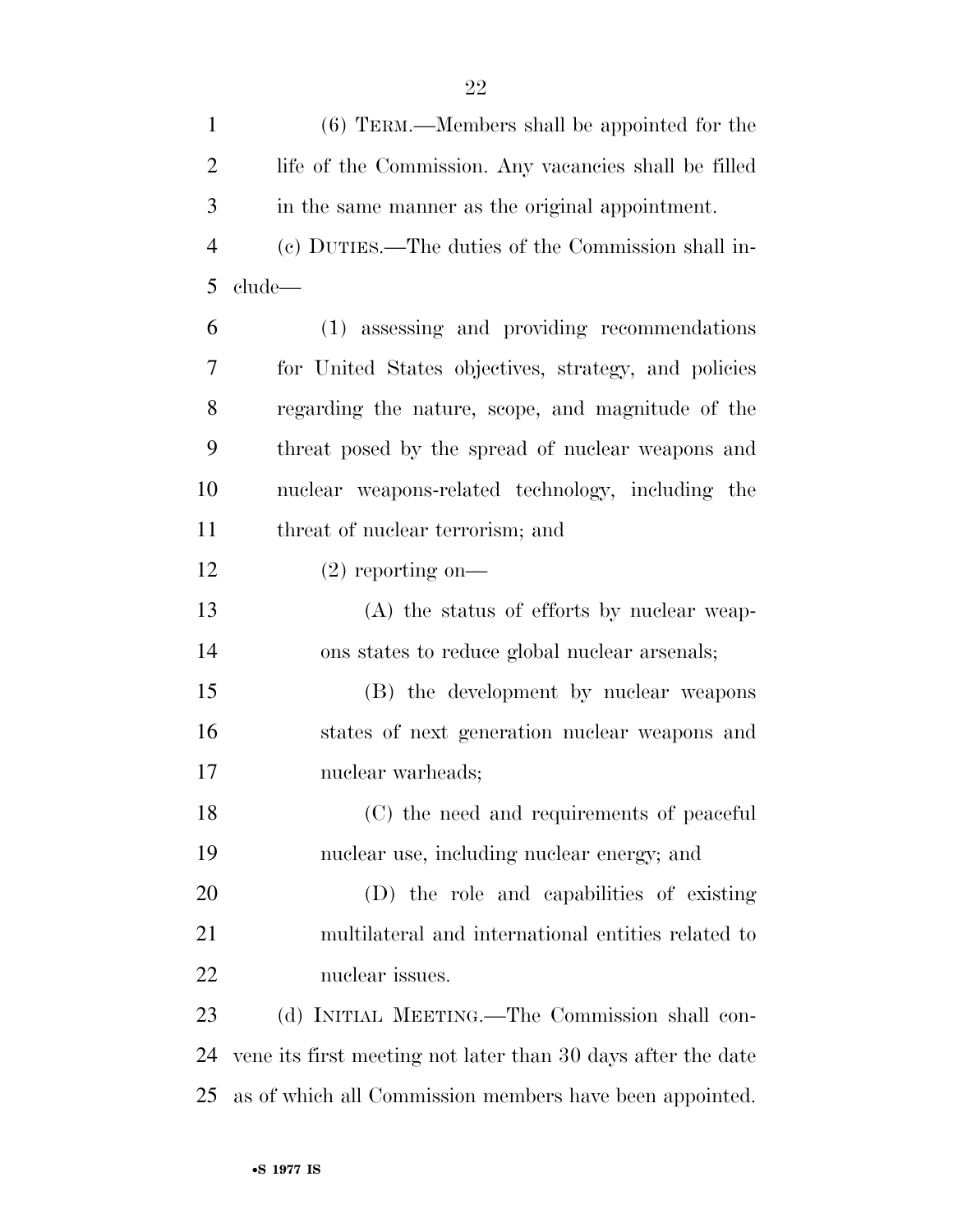| $\mathbf{1}$   | (6) TERM.—Members shall be appointed for the                 |
|----------------|--------------------------------------------------------------|
| $\overline{2}$ | life of the Commission. Any vacancies shall be filled        |
| 3              | in the same manner as the original appointment.              |
| $\overline{4}$ | (c) DUTIES.—The duties of the Commission shall in-           |
| 5              | clude—                                                       |
| 6              | (1) assessing and providing recommendations                  |
| 7              | for United States objectives, strategy, and policies         |
| 8              | regarding the nature, scope, and magnitude of the            |
| 9              | threat posed by the spread of nuclear weapons and            |
| 10             | nuclear weapons-related technology, including the            |
| 11             | threat of nuclear terrorism; and                             |
| 12             | $(2)$ reporting on-                                          |
| 13             | (A) the status of efforts by nuclear weap-                   |
| 14             | ons states to reduce global nuclear arsenals;                |
| 15             | (B) the development by nuclear weapons                       |
| 16             | states of next generation nuclear weapons and                |
| 17             | nuclear warheads;                                            |
| 18             | (C) the need and requirements of peaceful                    |
| 19             | nuclear use, including nuclear energy; and                   |
| 20             | (D) the role and capabilities of existing                    |
| 21             | multilateral and international entities related to           |
| 22             | nuclear issues.                                              |
| 23             | (d) INITIAL MEETING.—The Commission shall con-               |
| 24             | vene its first meeting not later than 30 days after the date |
| 25             | as of which all Commission members have been appointed.      |